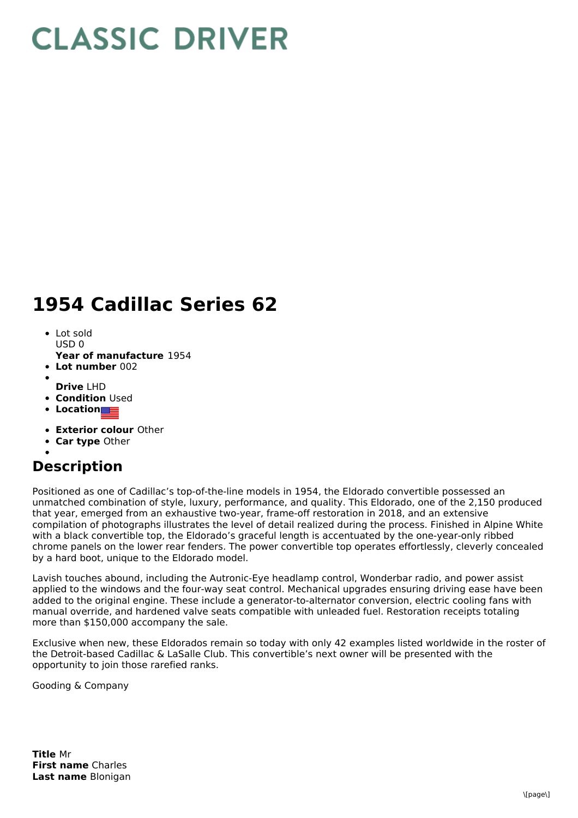## **CLASSIC DRIVER**

## **1954 Cadillac Series 62**

- Lot sold  $USDO$
- **Year of manufacture** 1954
- **Lot number** 002
- **Drive** LHD
- **Condition Used**
- **Location**
- 
- **Exterior colour** Other
- **Car type** Other

## **Description**

Positioned as one of Cadillac's top-of-the-line models in 1954, the Eldorado convertible possessed an unmatched combination of style, luxury, performance, and quality. This Eldorado, one of the 2,150 produced that year, emerged from an exhaustive two-year, frame-off restoration in 2018, and an extensive compilation of photographs illustrates the level of detail realized during the process. Finished in Alpine White with a black convertible top, the Eldorado's graceful length is accentuated by the one-year-only ribbed chrome panels on the lower rear fenders. The power convertible top operates effortlessly, cleverly concealed by a hard boot, unique to the Eldorado model.

Lavish touches abound, including the Autronic-Eye headlamp control, Wonderbar radio, and power assist applied to the windows and the four-way seat control. Mechanical upgrades ensuring driving ease have been added to the original engine. These include a generator-to-alternator conversion, electric cooling fans with manual override, and hardened valve seats compatible with unleaded fuel. Restoration receipts totaling more than \$150,000 accompany the sale.

Exclusive when new, these Eldorados remain so today with only 42 examples listed worldwide in the roster of the Detroit-based Cadillac & LaSalle Club. This convertible's next owner will be presented with the opportunity to join those rarefied ranks.

Gooding & Company

**Title** Mr **First name** Charles **Last name** Blonigan